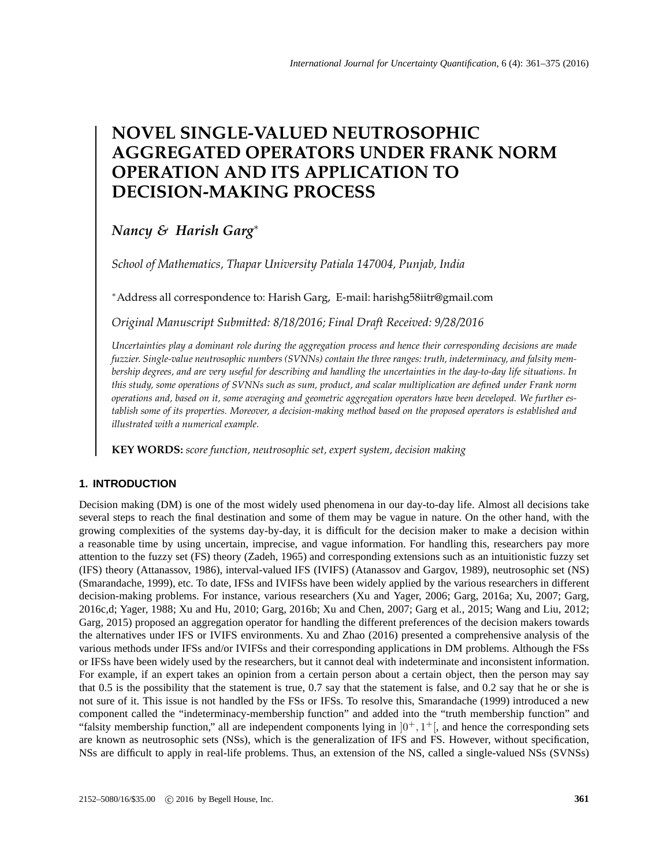# **NOVEL SINGLE-VALUED NEUTROSOPHIC AGGREGATED OPERATORS UNDER FRANK NORM OPERATION AND ITS APPLICATION TO DECISION-MAKING PROCESS**

## *Nancy & Harish Garg*<sup>∗</sup>

*School of Mathematics, Thapar University Patiala 147004, Punjab, India*

<sup>∗</sup>Address all correspondence to: Harish Garg, E-mail: harishg58iitr@gmail.com

*Original Manuscript Submitted: 8/18/2016; Final Draft Received: 9/28/2016*

*Uncertainties play a dominant role during the aggregation process and hence their corresponding decisions are made fuzzier. Single-value neutrosophic numbers (SVNNs) contain the three ranges: truth, indeterminacy, and falsity membership degrees, and are very useful for describing and handling the uncertainties in the day-to-day life situations. In this study, some operations of SVNNs such as sum, product, and scalar multiplication are defined under Frank norm operations and, based on it, some averaging and geometric aggregation operators have been developed. We further establish some of its properties. Moreover, a decision-making method based on the proposed operators is established and illustrated with a numerical example.*

**KEY WORDS:** *score function, neutrosophic set, expert system, decision making*

## **1. INTRODUCTION**

Decision making (DM) is one of the most widely used phenomena in our day-to-day life. Almost all decisions take several steps to reach the final destination and some of them may be vague in nature. On the other hand, with the growing complexities of the systems day-by-day, it is difficult for the decision maker to make a decision within a reasonable time by using uncertain, imprecise, and vague information. For handling this, researchers pay more attention to the fuzzy set (FS) theory (Zadeh, 1965) and corresponding extensions such as an intuitionistic fuzzy set (IFS) theory (Attanassov, 1986), interval-valued IFS (IVIFS) (Atanassov and Gargov, 1989), neutrosophic set (NS) (Smarandache, 1999), etc. To date, IFSs and IVIFSs have been widely applied by the various researchers in different decision-making problems. For instance, various researchers (Xu and Yager, 2006; Garg, 2016a; Xu, 2007; Garg, 2016c,d; Yager, 1988; Xu and Hu, 2010; Garg, 2016b; Xu and Chen, 2007; Garg et al., 2015; Wang and Liu, 2012; Garg, 2015) proposed an aggregation operator for handling the different preferences of the decision makers towards the alternatives under IFS or IVIFS environments. Xu and Zhao (2016) presented a comprehensive analysis of the various methods under IFSs and/or IVIFSs and their corresponding applications in DM problems. Although the FSs or IFSs have been widely used by the researchers, but it cannot deal with indeterminate and inconsistent information. For example, if an expert takes an opinion from a certain person about a certain object, then the person may say that 0.5 is the possibility that the statement is true, 0.7 say that the statement is false, and 0.2 say that he or she is not sure of it. This issue is not handled by the FSs or IFSs. To resolve this, Smarandache (1999) introduced a new component called the "indeterminacy-membership function" and added into the "truth membership function" and "falsity membership function," all are independent components lying in  $]0^+, 1^+[$ , and hence the corresponding sets are known as neutrosophic sets (NSs), which is the generalization of IFS and FS. However, without specification, NSs are difficult to apply in real-life problems. Thus, an extension of the NS, called a single-valued NSs (SVNSs)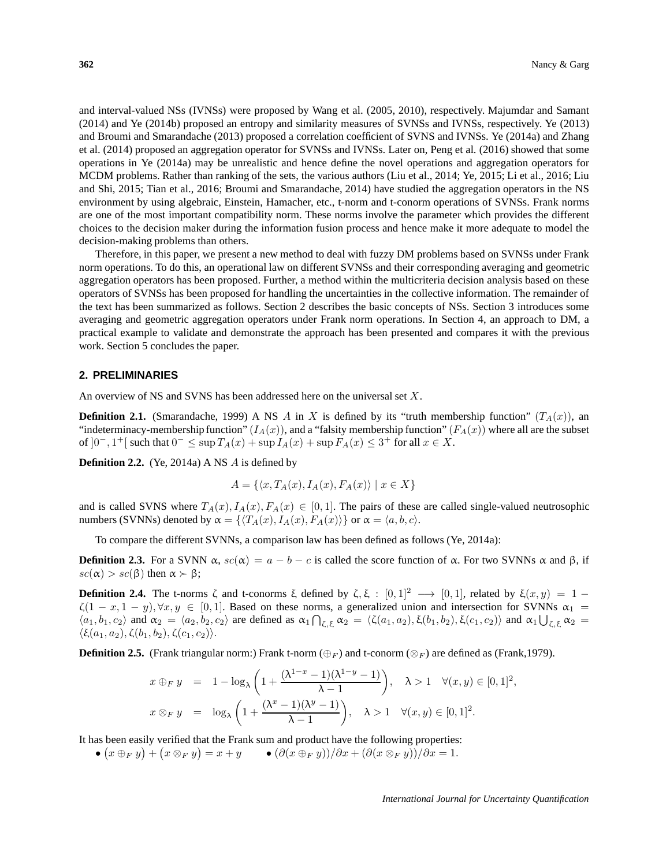and interval-valued NSs (IVNSs) were proposed by Wang et al. (2005, 2010), respectively. Majumdar and Samant (2014) and Ye (2014b) proposed an entropy and similarity measures of SVNSs and IVNSs, respectively. Ye (2013) and Broumi and Smarandache (2013) proposed a correlation coefficient of SVNS and IVNSs. Ye (2014a) and Zhang et al. (2014) proposed an aggregation operator for SVNSs and IVNSs. Later on, Peng et al. (2016) showed that some operations in Ye (2014a) may be unrealistic and hence define the novel operations and aggregation operators for MCDM problems. Rather than ranking of the sets, the various authors (Liu et al., 2014; Ye, 2015; Li et al., 2016; Liu and Shi, 2015; Tian et al., 2016; Broumi and Smarandache, 2014) have studied the aggregation operators in the NS environment by using algebraic, Einstein, Hamacher, etc., t-norm and t-conorm operations of SVNSs. Frank norms are one of the most important compatibility norm. These norms involve the parameter which provides the different choices to the decision maker during the information fusion process and hence make it more adequate to model the decision-making problems than others.

Therefore, in this paper, we present a new method to deal with fuzzy DM problems based on SVNSs under Frank norm operations. To do this, an operational law on different SVNSs and their corresponding averaging and geometric aggregation operators has been proposed. Further, a method within the multicriteria decision analysis based on these operators of SVNSs has been proposed for handling the uncertainties in the collective information. The remainder of the text has been summarized as follows. Section 2 describes the basic concepts of NSs. Section 3 introduces some averaging and geometric aggregation operators under Frank norm operations. In Section 4, an approach to DM, a practical example to validate and demonstrate the approach has been presented and compares it with the previous work. Section 5 concludes the paper.

#### **2. PRELIMINARIES**

An overview of NS and SVNS has been addressed here on the universal set X.

**Definition 2.1.** (Smarandache, 1999) A NS A in X is defined by its "truth membership function"  $(T_A(x))$ , an "indeterminacy-membership function"  $(I_A(x))$ , and a "falsity membership function"  $(F_A(x))$  where all are the subset of  $]0^-, 1^+[$  such that  $0^- \leq \sup T_A(x) + \sup T_A(x) + \sup T_A(x) \leq 3^+$  for all  $x \in X$ .

**Definition 2.2.** (Ye, 2014a) A NS A is defined by

$$
A = \{ \langle x, T_A(x), I_A(x), F_A(x) \rangle \mid x \in X \}
$$

and is called SVNS where  $T_A(x)$ ,  $I_A(x)$ ,  $F_A(x) \in [0, 1]$ . The pairs of these are called single-valued neutrosophic numbers (SVNNs) denoted by  $\alpha = \{ \langle T_A(x), I_A(x), F_A(x) \rangle \}$  or  $\alpha = \langle a, b, c \rangle$ .

To compare the different SVNNs, a comparison law has been defined as follows (Ye, 2014a):

**Definition 2.3.** For a SVNN  $\alpha$ ,  $sc(\alpha) = a - b - c$  is called the score function of  $\alpha$ . For two SVNNs  $\alpha$  and  $\beta$ , if  $\operatorname{sc}(\alpha) > \operatorname{sc}(\beta)$  then  $\alpha \succ \beta$ ;

**Definition 2.4.** The t-norms ζ and t-conorms ξ defined by  $\zeta$ , ξ :  $[0, 1]^2 \rightarrow [0, 1]$ , related by  $\xi(x, y) = 1 \zeta(1-x, 1-y), \forall x, y \in [0,1].$  Based on these norms, a generalized union and intersection for SVNNs  $\alpha_1 =$  $\langle a_1, b_1, c_2 \rangle$  and  $\alpha_2 = \langle a_2, b_2, c_2 \rangle$  are defined as  $\alpha_1 \bigcap_{\zeta, \xi} \alpha_2 = \langle \zeta(a_1, a_2), \xi(b_1, b_2), \xi(c_1, c_2) \rangle$  and  $\alpha_1 \bigcup_{\zeta, \xi} \alpha_2 =$  $\langle \xi(a_1, a_2), \zeta(b_1, b_2), \zeta(c_1, c_2)\rangle.$ 

**Definition 2.5.** (Frank triangular norm:) Frank t-norm (⊕<sub>F</sub>) and t-conorm (⊗<sub>F</sub>) are defined as (Frank,1979).

$$
x \oplus_F y = 1 - \log_{\lambda} \left( 1 + \frac{(\lambda^{1-x} - 1)(\lambda^{1-y} - 1)}{\lambda - 1} \right), \quad \lambda > 1 \quad \forall (x, y) \in [0, 1]^2,
$$
  

$$
x \otimes_F y = \log_{\lambda} \left( 1 + \frac{(\lambda^x - 1)(\lambda^y - 1)}{\lambda - 1} \right), \quad \lambda > 1 \quad \forall (x, y) \in [0, 1]^2.
$$

It has been easily verified that the Frank sum and product have the following properties:

 $\bullet$   $(x \oplus_F y) + (x \otimes_F y) = x + y$   $\bullet$   $(\partial (x \oplus_F y))/\partial x + (\partial (x \otimes_F y))/\partial x = 1$ .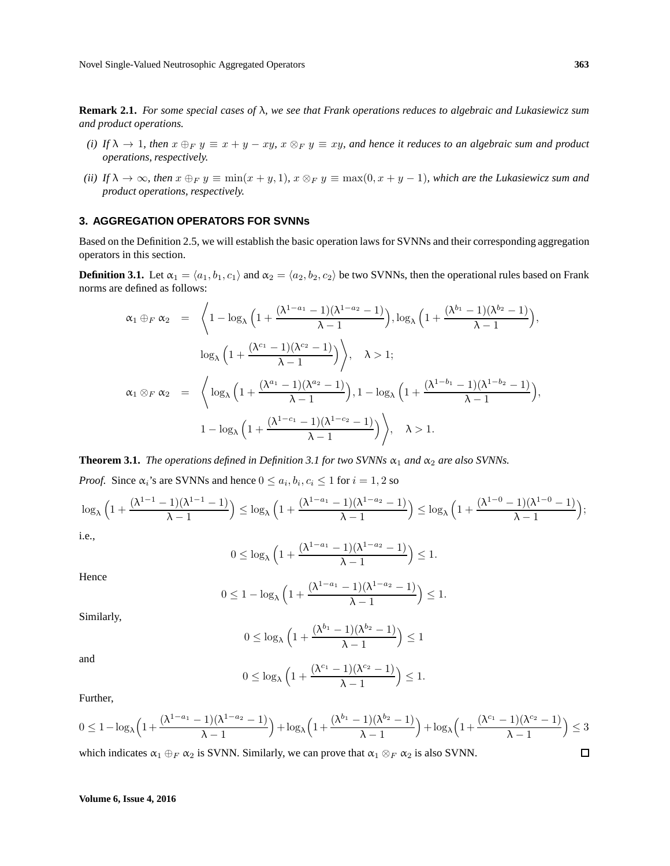**Remark 2.1.** *For some special cases of* λ*, we see that Frank operations reduces to algebraic and Lukasiewicz sum and product operations.*

- *(i)* If  $\lambda \to 1$ , then  $x \oplus_F y \equiv x + y xy$ ,  $x \otimes_F y \equiv xy$ , and hence it reduces to an algebraic sum and product *operations, respectively.*
- *(ii)* If  $\lambda \to \infty$ , then  $x \oplus_F y \equiv \min(x + y, 1)$ ,  $x \otimes_F y \equiv \max(0, x + y 1)$ , which are the Lukasiewicz sum and *product operations, respectively.*

#### **3. AGGREGATION OPERATORS FOR SVNNs**

Based on the Definition 2.5, we will establish the basic operation laws for SVNNs and their corresponding aggregation operators in this section.

**Definition 3.1.** Let  $\alpha_1 = \langle a_1, b_1, c_1 \rangle$  and  $\alpha_2 = \langle a_2, b_2, c_2 \rangle$  be two SVNNs, then the operational rules based on Frank norms are defined as follows:

$$
\alpha_1 \oplus_F \alpha_2 = \left\langle 1 - \log_{\lambda} \left( 1 + \frac{(\lambda^{1-a_1} - 1)(\lambda^{1-a_2} - 1)}{\lambda - 1} \right), \log_{\lambda} \left( 1 + \frac{(\lambda^{b_1} - 1)(\lambda^{b_2} - 1)}{\lambda - 1} \right), \log_{\lambda} \left( 1 + \frac{(\lambda^{c_1} - 1)(\lambda^{c_2} - 1)}{\lambda - 1} \right) \right\rangle, \quad \lambda > 1;
$$
  

$$
\alpha_1 \otimes_F \alpha_2 = \left\langle \log_{\lambda} \left( 1 + \frac{(\lambda^{a_1} - 1)(\lambda^{a_2} - 1)}{\lambda - 1} \right), 1 - \log_{\lambda} \left( 1 + \frac{(\lambda^{1-b_1} - 1)(\lambda^{1-b_2} - 1)}{\lambda - 1} \right), \log_{\lambda} \left( 1 + \frac{(\lambda^{1-b_1} - 1)(\lambda^{1-b_2} - 1)}{\lambda - 1} \right) \right\rangle, \quad \lambda > 1.
$$

**Theorem 3.1.** *The operations defined in Definition 3.1 for two SVNNs*  $\alpha_1$  *and*  $\alpha_2$  *are also SVNNs.* 

*Proof.* Since  $\alpha_i$ 's are SVNNs and hence  $0 \le a_i, b_i, c_i \le 1$  for  $i = 1, 2$  so

$$
\log_{\lambda}\Big(1+\frac{(\lambda^{1-1}-1)(\lambda^{1-1}-1)}{\lambda-1}\Big)\leq \log_{\lambda}\Big(1+\frac{(\lambda^{1-a_1}-1)(\lambda^{1-a_2}-1)}{\lambda-1}\Big)\leq \log_{\lambda}\Big(1+\frac{(\lambda^{1-0}-1)(\lambda^{1-0}-1)}{\lambda-1}\Big);
$$

i.e.,

$$
0 \leq \log_{\lambda} \left( 1 + \frac{(\lambda^{1-a_1} - 1)(\lambda^{1-a_2} - 1)}{\lambda - 1} \right) \leq 1.
$$

Hence

$$
0\leq 1-\log_{\lambda}\Big(1+\frac{(\lambda^{1-a_1}-1)(\lambda^{1-a_2}-1)}{\lambda-1}\Big)\leq 1.
$$

Similarly,

$$
0 \leq \log_{\lambda} \left( 1 + \frac{(\lambda^{b_1} - 1)(\lambda^{b_2} - 1)}{\lambda - 1} \right) \leq 1
$$

and

$$
0 \leq \log_{\lambda} \left( 1 + \frac{(\lambda^{c_1} - 1)(\lambda^{c_2} - 1)}{\lambda - 1} \right) \leq 1.
$$

Further,

$$
0\leq 1-\log_{\lambda}\Big(1+\frac{(\lambda^{1-a_1}-1)(\lambda^{1-a_2}-1)}{\lambda-1}\Big)+\log_{\lambda}\Big(1+\frac{(\lambda^{b_1}-1)(\lambda^{b_2}-1)}{\lambda-1}\Big)+\log_{\lambda}\Big(1+\frac{(\lambda^{c_1}-1)(\lambda^{c_2}-1)}{\lambda-1}\Big)\leq 3
$$

which indicates  $\alpha_1 \oplus_F \alpha_2$  is SVNN. Similarly, we can prove that  $\alpha_1 \otimes_F \alpha_2$  is also SVNN.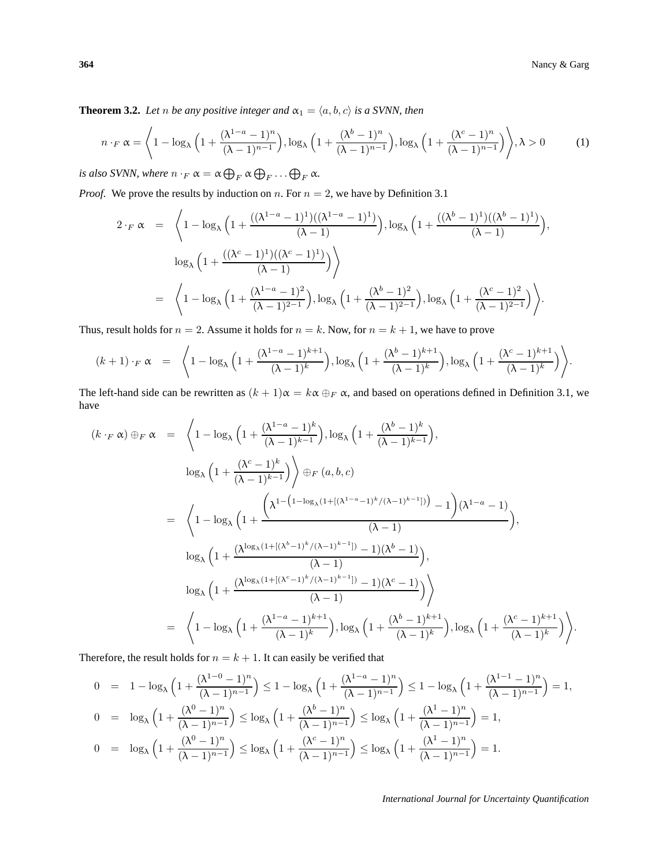**Theorem 3.2.** *Let n be any positive integer and*  $\alpha_1 = \langle a, b, c \rangle$  *is a SVNN, then* 

$$
n \cdot_F \alpha = \left\langle 1 - \log_{\lambda} \left( 1 + \frac{(\lambda^{1-a} - 1)^n}{(\lambda - 1)^{n-1}} \right), \log_{\lambda} \left( 1 + \frac{(\lambda^b - 1)^n}{(\lambda - 1)^{n-1}} \right), \log_{\lambda} \left( 1 + \frac{(\lambda^c - 1)^n}{(\lambda - 1)^{n-1}} \right) \right\rangle, \lambda > 0 \tag{1}
$$

*is also SVNN, where*  $n \cdot_F \alpha = \alpha \bigoplus_F \alpha \bigoplus_F \ldots \bigoplus_F \alpha$ .

*Proof.* We prove the results by induction on n. For  $n = 2$ , we have by Definition 3.1

$$
2 \cdot_F \alpha = \left\langle 1 - \log_{\lambda} \left( 1 + \frac{((\lambda^{1-a} - 1)^1)((\lambda^{1-a} - 1)^1)}{(\lambda - 1)} \right), \log_{\lambda} \left( 1 + \frac{((\lambda^{b} - 1)^1)((\lambda^{b} - 1)^1)}{(\lambda - 1)} \right), \log_{\lambda} \left( 1 + \frac{((\lambda^{c} - 1)^1)((\lambda^{c} - 1)^1)}{(\lambda - 1)} \right) \right\rangle
$$
  
=  $\left\langle 1 - \log_{\lambda} \left( 1 + \frac{(\lambda^{1-a} - 1)^2}{(\lambda - 1)^{2-1}} \right), \log_{\lambda} \left( 1 + \frac{(\lambda^{b} - 1)^2}{(\lambda - 1)^{2-1}} \right), \log_{\lambda} \left( 1 + \frac{(\lambda^{c} - 1)^2}{(\lambda - 1)^{2-1}} \right) \right\rangle.$ 

Thus, result holds for  $n = 2$ . Assume it holds for  $n = k$ . Now, for  $n = k + 1$ , we have to prove

$$
(k+1)\cdot_F \alpha = \left\langle 1 - \log_{\lambda} \left( 1 + \frac{(\lambda^{1-a}-1)^{k+1}}{(\lambda-1)^k} \right), \log_{\lambda} \left( 1 + \frac{(\lambda^b-1)^{k+1}}{(\lambda-1)^k} \right), \log_{\lambda} \left( 1 + \frac{(\lambda^c-1)^{k+1}}{(\lambda-1)^k} \right) \right\rangle.
$$

The left-hand side can be rewritten as  $(k + 1)\alpha = k\alpha \oplus_F \alpha$ , and based on operations defined in Definition 3.1, we have

$$
(k \cdot_F \alpha) \oplus_F \alpha = \left\langle 1 - \log_{\lambda} \left( 1 + \frac{(\lambda^{1-a} - 1)^{k}}{(\lambda - 1)^{k-1}} \right), \log_{\lambda} \left( 1 + \frac{(\lambda^{b} - 1)^{k}}{(\lambda - 1)^{k-1}} \right) \right\rangle
$$
  
\n
$$
\log_{\lambda} \left( 1 + \frac{(\lambda^{c} - 1)^{k}}{(\lambda - 1)^{k-1}} \right) \right\rangle \oplus_F (a, b, c)
$$
  
\n
$$
= \left\langle 1 - \log_{\lambda} \left( 1 + \frac{\left( \lambda^{1 - \left( 1 - \log_{\lambda} (1 + [(\lambda^{1-a} - 1)^{k}/(\lambda - 1)^{k-1}]) \right) - 1 \right) (\lambda^{1-a} - 1)}{(\lambda - 1)} \right),
$$
  
\n
$$
\log_{\lambda} \left( 1 + \frac{(\lambda^{\log_{\lambda} (1 + [(\lambda^{b} - 1)^{k}/(\lambda - 1)^{k-1}]) - 1)(\lambda^{b} - 1)}{(\lambda - 1)} \right),
$$
  
\n
$$
\log_{\lambda} \left( 1 + \frac{(\lambda^{\log_{\lambda} (1 + [(\lambda^{c} - 1)^{k}/(\lambda - 1)^{k-1}]) - 1)(\lambda^{c} - 1)}{(\lambda - 1)} \right) \right\rangle}{(\lambda - 1)}
$$
  
\n
$$
= \left\langle 1 - \log_{\lambda} \left( 1 + \frac{(\lambda^{1-a} - 1)^{k+1}}{(\lambda - 1)^{k}} \right), \log_{\lambda} \left( 1 + \frac{(\lambda^{b} - 1)^{k+1}}{(\lambda - 1)^{k}} \right), \log_{\lambda} \left( 1 + \frac{(\lambda^{c} - 1)^{k+1}}{(\lambda - 1)^{k}} \right) \right\rangle.
$$

Therefore, the result holds for  $n = k + 1$ . It can easily be verified that

$$
0 = 1 - \log_{\lambda} \left( 1 + \frac{(\lambda^{1-0} - 1)^n}{(\lambda - 1)^{n-1}} \right) \le 1 - \log_{\lambda} \left( 1 + \frac{(\lambda^{1-a} - 1)^n}{(\lambda - 1)^{n-1}} \right) \le 1 - \log_{\lambda} \left( 1 + \frac{(\lambda^{1-1} - 1)^n}{(\lambda - 1)^{n-1}} \right) = 1,
$$
  
\n
$$
0 = \log_{\lambda} \left( 1 + \frac{(\lambda^0 - 1)^n}{(\lambda - 1)^{n-1}} \right) \le \log_{\lambda} \left( 1 + \frac{(\lambda^b - 1)^n}{(\lambda - 1)^{n-1}} \right) \le \log_{\lambda} \left( 1 + \frac{(\lambda^1 - 1)^n}{(\lambda - 1)^{n-1}} \right) = 1,
$$
  
\n
$$
0 = \log_{\lambda} \left( 1 + \frac{(\lambda^0 - 1)^n}{(\lambda - 1)^{n-1}} \right) \le \log_{\lambda} \left( 1 + \frac{(\lambda^c - 1)^n}{(\lambda - 1)^{n-1}} \right) \le \log_{\lambda} \left( 1 + \frac{(\lambda^1 - 1)^n}{(\lambda - 1)^{n-1}} \right) = 1.
$$

*International Journal for Uncertainty Quantification*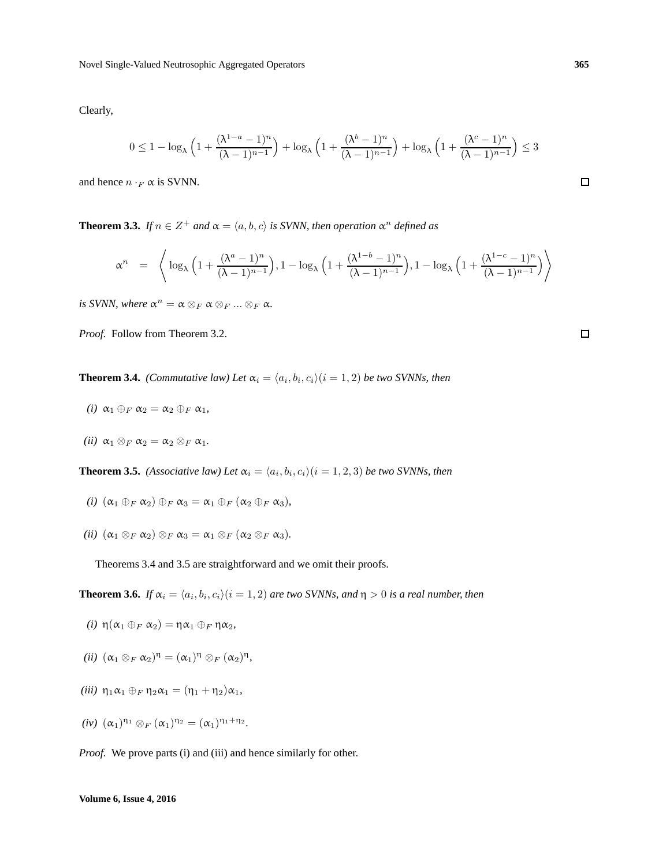Clearly,

$$
0\leq 1-\log_{\lambda}\Big(1+\frac{(\lambda^{1-a}-1)^{n}}{(\lambda-1)^{n-1}}\Big)+\log_{\lambda}\Big(1+\frac{(\lambda^{b}-1)^{n}}{(\lambda-1)^{n-1}}\Big)+\log_{\lambda}\Big(1+\frac{(\lambda^{c}-1)^{n}}{(\lambda-1)^{n-1}}\Big)\leq 3
$$

and hence  $n \cdot_F \alpha$  is SVNN.

**Theorem 3.3.** *If*  $n \in \mathbb{Z}^+$  *and*  $\alpha = \langle a, b, c \rangle$  *is SVNN, then operation*  $\alpha^n$  *defined as* 

$$
\alpha^n = \left\langle \log_{\lambda} \left( 1 + \frac{(\lambda^a - 1)^n}{(\lambda - 1)^{n-1}} \right), 1 - \log_{\lambda} \left( 1 + \frac{(\lambda^{1-b} - 1)^n}{(\lambda - 1)^{n-1}} \right), 1 - \log_{\lambda} \left( 1 + \frac{(\lambda^{1-c} - 1)^n}{(\lambda - 1)^{n-1}} \right) \right\rangle
$$

*is SVNN, where*  $\alpha^n = \alpha \otimes_F \alpha \otimes_F ... \otimes_F \alpha$ .

*Proof.* Follow from Theorem 3.2.

**Theorem 3.4.** *(Commutative law) Let*  $\alpha_i = \langle a_i, b_i, c_i \rangle (i = 1, 2)$  *be two SVNNs, then* 

- *(i)*  $\alpha_1 \oplus_F \alpha_2 = \alpha_2 \oplus_F \alpha_1$ *,*
- *(ii)*  $\alpha_1 \otimes_F \alpha_2 = \alpha_2 \otimes_F \alpha_1$ .

**Theorem 3.5.** *(Associative law) Let*  $\alpha_i = \langle a_i, b_i, c_i \rangle$  ( $i = 1, 2, 3$ ) *be two SVNNs, then* 

- *(i)*  $(\alpha_1 \oplus_F \alpha_2) \oplus_F \alpha_3 = \alpha_1 \oplus_F (\alpha_2 \oplus_F \alpha_3)$ ,
- *(ii)*  $(\alpha_1 \otimes_F \alpha_2) \otimes_F \alpha_3 = \alpha_1 \otimes_F (\alpha_2 \otimes_F \alpha_3)$ .

Theorems 3.4 and 3.5 are straightforward and we omit their proofs.

**Theorem 3.6.** If  $\alpha_i = \langle a_i, b_i, c_i \rangle (i = 1, 2)$  are two SVNNs, and  $\eta > 0$  is a real number, then

- *(i)*  $η(α_1 ⊕_F α_2) = ηα_1 ⊕_F ηα_2$ ,
- (*ii*)  $(\alpha_1 \otimes_F \alpha_2)^{\eta} = (\alpha_1)^{\eta} \otimes_F (\alpha_2)^{\eta}$ ,
- *(iii)*  $η_1α_1 ⊕_F η_2α_1 = (η_1 + η_2)α_1$ ,
- $(iv)$   $(\alpha_1)^{\eta_1} \otimes_F (\alpha_1)^{\eta_2} = (\alpha_1)^{\eta_1 + \eta_2}.$

*Proof.* We prove parts (i) and (iii) and hence similarly for other.

 $\Box$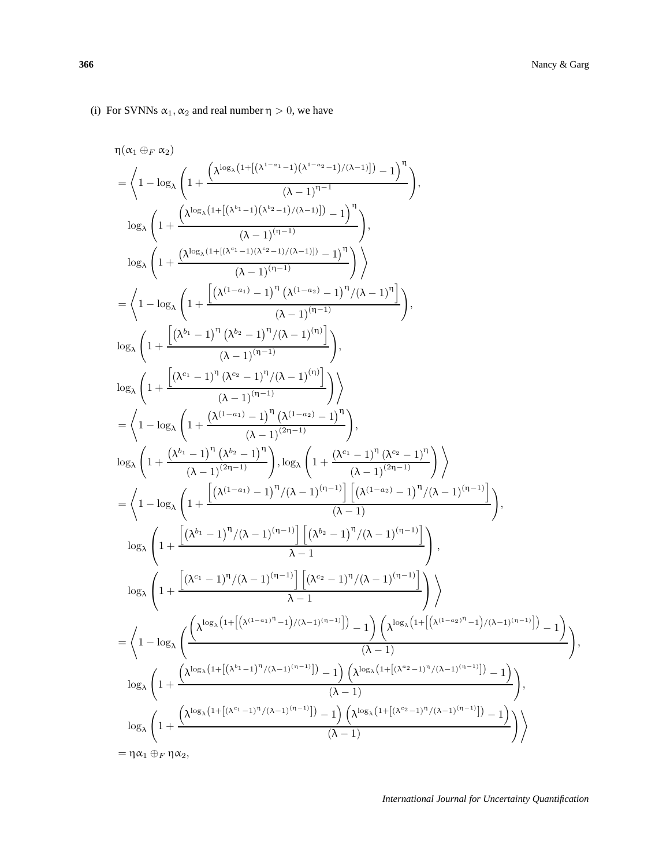$$
\begin{split} & = \bigg \langle 1 - \log_{\lambda} \left( 1 + \frac{\left[ \left( \lambda^{(1-a_{1})} - 1 \right)^{\eta} \left( \lambda^{(1-a_{2})} - 1 \right)^{\eta} / (\lambda - 1 \right)^{\eta} \right]}{(\lambda - 1)^{(n-1)}} \right) \\ \log_{\lambda} \left( 1 + \frac{\left[ \left( \lambda^{b_{1}} - 1 \right)^{\eta} \left( \lambda^{b_{2}} - 1 \right)^{\eta} / (\lambda - 1)^{(n)} \right]}{(\lambda - 1)^{(n-1)}} \right) \\ \log_{\lambda} \left( 1 + \frac{\left[ \left( \lambda^{c_{1}} - 1 \right)^{\eta} \left( \lambda^{c_{2}} - 1 \right)^{\eta} / (\lambda - 1)^{(n)} \right]}{(\lambda - 1)^{(n-1)}} \right) \\ & = \bigg \langle 1 - \log_{\lambda} \left( 1 + \frac{\left( \lambda^{(1-a_{1})} - 1 \right)^{\eta} \left( \lambda^{(1-a_{2})} - 1 \right)^{\eta} \right)}{(\lambda - 1)^{(2\eta - 1)}} \right) \\ & = \bigg \langle 1 - \log_{\lambda} \left( 1 + \frac{\left[ \left( \lambda^{(1-a_{1})} - 1 \right)^{\eta} \left( \lambda^{(1-a_{2})} - 1 \right)^{\eta} \right]}{(\lambda - 1)^{(2\eta - 1)}} \right) \\ & = \bigg \langle 1 - \log_{\lambda} \left( 1 + \frac{\left[ \left( \lambda^{(1-a_{1})} - 1 \right)^{\eta} / (\lambda - 1)^{(n-1)} \right] \left[ \left( \lambda^{(1-a_{2})} - 1 \right)^{\eta} / (\lambda - 1)^{(n-1)} \right]}{(\lambda - 1)} \right) \\ & = \bigg \langle 1 - \log_{\lambda} \left( 1 + \frac{\left[ \left( \lambda^{b_{1}} - 1 \right)^{\eta} / (\lambda - 1)^{(n-1)} \right] \left[ \left( \lambda^{b_{2}} - 1 \right)^{\eta} / (\lambda - 1)^{(n-1)} \right]}{(\lambda - 1)} \right) \\ & = \bigg \langle 1 - \log_{\lambda} \left( 1 + \frac{\left[ \left( \lambda^{b_{1}} - 1 \right)^{\eta} / (\lambda - 1)^{(n-1)} \right] \left[ \left( \lambda^{b_{2}} - 1 \
$$

(i) For SVNNs  $\alpha_1, \alpha_2$  and real number  $\eta > 0$ , we have

 $\left(\lambda^{\log_{\lambda}\left(1+\left[\left(\lambda^{1-a_{1}}-1\right)\left(\lambda^{1-a_{2}}-1\right)/(\lambda-1)\right]\right)}-1\right)^{\eta}$ 

 $\setminus$ ,

,

 $(\lambda - 1)^{\eta - 1}$ 

 $\frac{\left(\lambda^{\log_{\lambda}\left(1+\left[\left(\lambda^{b_{1}}-1\right)\left(\lambda^{b_{2}}-1\right)/(\lambda-1)\right]\right)}-\left(1\right)^{\eta}\right)}{\left(\lambda-1\right)^{\left(\eta-1\right)}}$ 

 $\frac{\left(\lambda^{\log_{\lambda}\left(1+\left[(\lambda^{c_1}-1)(\lambda^{c_2}-1)/(\lambda-1)\right])}-1\right)^\eta}{\left(\lambda-1\right)^{(\eta-1)}}\right)\right\}$ 

 $\eta(\alpha_1 \oplus_F \alpha_2)$ 

 $\log_{\lambda}$  $\sqrt{2}$ 1 +

 $\log_{\lambda}$  $\sqrt{ }$ 1 +

 $1 - \log_{\lambda}$ 

 $\sqrt{ }$ 1 +

= \*

**366** Nancy & Garg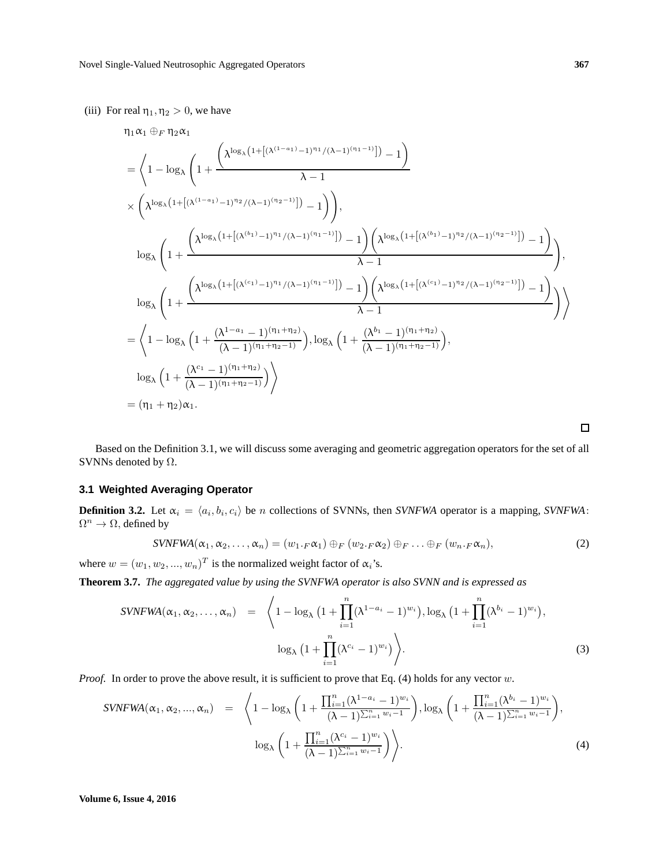(iii) For real  $\eta_1, \eta_2 > 0$ , we have

$$
\begin{split} &\eta_1\alpha_1\oplus_F\eta_2\alpha_1\\ &=\bigg\langle 1-\log_{\lambda}\left(1+\frac{\left(\lambda^{\log_{\lambda}\left(1+\left[(\lambda^{(1-a_{1})}-1)^{\eta_{1}}/(\lambda-1)^{(\eta_{1}-1})\right]\right)}-\lambda\right)}{\lambda-1}\right)\\ &\times\left(\lambda^{\log_{\lambda}\left(1+\left[(\lambda^{(1-a_{1})}-1)^{\eta_{2}}/(\lambda-1)^{(\eta_{2}-1})\right]\right)}-\lambda\right)\right),\\ &\log_{\lambda}\left(1+\frac{\left(\lambda^{\log_{\lambda}\left(1+\left[(\lambda^{(b_{1})}-1)^{\eta_{1}}/(\lambda-1)^{(\eta_{1}-1})\right]\right)}-\lambda\right)\left(\lambda^{\log_{\lambda}\left(1+\left[(\lambda^{(b_{1})}-1)^{\eta_{2}}/(\lambda-1)^{(\eta_{2}-1})\right]\right)}-\lambda\right)}{\lambda-1}\right)}{\lambda-1}\right),\\ &\log_{\lambda}\left(1+\frac{\left(\lambda^{\log_{\lambda}\left(1+\left[(\lambda^{(c_{1})}-1)^{\eta_{1}}/(\lambda-1)^{(\eta_{1}-1})\right]\right)}-\lambda\right)\left(\lambda^{\log_{\lambda}\left(1+\left[(\lambda^{(c_{1})}-1)^{\eta_{2}}/(\lambda-1)^{(\eta_{2}-1})\right]\right)}-\lambda\right)}{\lambda-1}\right)}{\lambda-1}\right)\\ &=\bigg\langle 1-\log_{\lambda}\left(1+\frac{(\lambda^{1-a_{1}}-1)^{(\eta_{1}+\eta_{2})}}{(\lambda-1)^{(\eta_{1}+\eta_{2}-1)}}\right),\log_{\lambda}\left(1+\frac{(\lambda^{b_{1}}-1)^{(\eta_{1}+\eta_{2}-1)}}{(\lambda-1)^{(\eta_{1}+\eta_{2}-1)}}\right),\\ &\log_{\lambda}\left(1+\frac{(\lambda^{c_{1}}-1)^{(\eta_{1}+\eta_{2}-1)}}{(\lambda-1)^{(\eta_{1}+\eta_{2}-1)}}\right)\bigg\rangle\\ &=(\eta_{1}+\eta_{2})\alpha_{1}. \end{split}
$$

Based on the Definition 3.1, we will discuss some averaging and geometric aggregation operators for the set of all SVNNs denoted by  $\Omega$ .

## **3.1 Weighted Averaging Operator**

**Definition 3.2.** Let  $\alpha_i = \langle a_i, b_i, c_i \rangle$  be n collections of SVNNs, then *SVNFWA* operator is a mapping, *SVNFWA*:  $\Omega^n \to \Omega$ , defined by

$$
SVNFWA(\alpha_1, \alpha_2, \ldots, \alpha_n) = (w_1 \cdot_F \alpha_1) \oplus_F (w_2 \cdot_F \alpha_2) \oplus_F \ldots \oplus_F (w_n \cdot_F \alpha_n), \qquad (2)
$$

where  $w = (w_1, w_2, ..., w_n)^T$  is the normalized weight factor of  $\alpha_i$ 's.

**Theorem 3.7.** *The aggregated value by using the SVNFWA operator is also SVNN and is expressed as*

$$
SVNFWA(\alpha_1, \alpha_2, \dots, \alpha_n) = \left\langle 1 - \log_{\lambda} \left( 1 + \prod_{i=1}^n (\lambda^{1-a_i} - 1)^{w_i} \right), \log_{\lambda} \left( 1 + \prod_{i=1}^n (\lambda^{b_i} - 1)^{w_i} \right), \log_{\lambda} \left( 1 + \prod_{i=1}^n (\lambda^{c_i} - 1)^{w_i} \right) \right\rangle.
$$
\n(3)

*Proof.* In order to prove the above result, it is sufficient to prove that Eq. (4) holds for any vector w.

$$
SVNFWA(\alpha_1, \alpha_2, ..., \alpha_n) = \left\langle 1 - \log_{\lambda} \left( 1 + \frac{\prod_{i=1}^n (\lambda^{1-a_i} - 1)^{w_i}}{(\lambda - 1)^{\sum_{i=1}^n w_i - 1}} \right), \log_{\lambda} \left( 1 + \frac{\prod_{i=1}^n (\lambda^{b_i} - 1)^{w_i}}{(\lambda - 1)^{\sum_{i=1}^n w_i - 1}} \right), \log_{\lambda} \left( 1 + \frac{\prod_{i=1}^n (\lambda^{c_i} - 1)^{w_i}}{(\lambda - 1)^{\sum_{i=1}^n w_i - 1}} \right) \right\rangle.
$$
\n(4)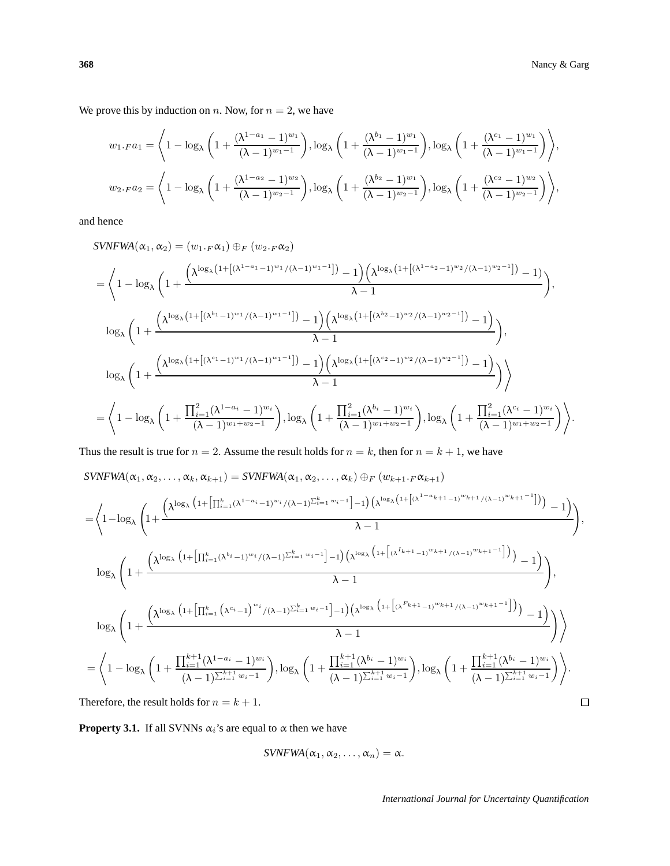We prove this by induction on n. Now, for  $n = 2$ , we have

$$
w_{1.F}a_{1} = \left\langle 1 - \log_{\lambda} \left( 1 + \frac{(\lambda^{1-a_{1}} - 1)^{w_{1}}}{(\lambda - 1)^{w_{1}-1}} \right), \log_{\lambda} \left( 1 + \frac{(\lambda^{b_{1}} - 1)^{w_{1}}}{(\lambda - 1)^{w_{1}-1}} \right), \log_{\lambda} \left( 1 + \frac{(\lambda^{c_{1}} - 1)^{w_{1}}}{(\lambda - 1)^{w_{1}-1}} \right) \right\rangle,
$$
  

$$
w_{2.F}a_{2} = \left\langle 1 - \log_{\lambda} \left( 1 + \frac{(\lambda^{1-a_{2}} - 1)^{w_{2}}}{(\lambda - 1)^{w_{2}-1}} \right), \log_{\lambda} \left( 1 + \frac{(\lambda^{b_{2}} - 1)^{w_{1}}}{(\lambda - 1)^{w_{2}-1}} \right), \log_{\lambda} \left( 1 + \frac{(\lambda^{c_{2}} - 1)^{w_{2}}}{(\lambda - 1)^{w_{2}-1}} \right) \right\rangle,
$$

and hence

$$
SVNFWA(\alpha_1, \alpha_2) = (w_1 \cdot F \alpha_1) \oplus_F (w_2 \cdot F \alpha_2)
$$
  
\n
$$
= \left\langle 1 - \log_{\lambda} \left( 1 + \frac{\left( \lambda^{\log_{\lambda} \left( 1 + \left[ (\lambda^{1-a_1} - 1)^{w_1} / (\lambda - 1)^{w_1 - 1} \right] \right)} - 1 \right) \left( \lambda^{\log_{\lambda} \left( 1 + \left[ (\lambda^{1-a_2} - 1)^{w_2} / (\lambda - 1)^{w_2 - 1} \right] \right)} - 1 \right)}{\lambda - 1} \right),
$$
  
\n
$$
\log_{\lambda} \left( 1 + \frac{\left( \lambda^{\log_{\lambda} \left( 1 + \left[ (\lambda^{b_1} - 1)^{w_1} / (\lambda - 1)^{w_1 - 1} \right] \right)} - 1 \right) \left( \lambda^{\log_{\lambda} \left( 1 + \left[ (\lambda^{b_2} - 1)^{w_2} / (\lambda - 1)^{w_2 - 1} \right] \right)} - 1 \right)}{\lambda - 1} \right),
$$
  
\n
$$
\log_{\lambda} \left( 1 + \frac{\left( \lambda^{\log_{\lambda} \left( 1 + \left[ (\lambda^{c_1} - 1)^{w_1} / (\lambda - 1)^{w_1 - 1} \right] \right)} - 1 \right) \left( \lambda^{\log_{\lambda} \left( 1 + \left[ (\lambda^{c_2} - 1)^{w_2} / (\lambda - 1)^{w_2 - 1} \right] \right)} - 1 \right)}{\lambda - 1} \right)} \right)
$$
  
\n
$$
= \left\langle 1 - \log_{\lambda} \left( 1 + \frac{\prod_{i=1}^{2} (\lambda^{1-a_i} - 1)^{w_i}}{(\lambda - 1)^{w_1 + w_2 - 1}} \right), \log_{\lambda} \left( 1 + \frac{\prod_{i=1}^{2} (\lambda^{b_i} - 1)^{w_i}}{(\lambda - 1)^{w_1 + w_2 - 1}} \right), \log_{\lambda} \left( 1 + \frac{\prod_{i=1}^{2} (\lambda^{c_i} - 1)^{w_i}}{(\lambda - 1)^{w_1 + w_2 - 1}} \right) \right\rangle
$$

Thus the result is true for  $n = 2$ . Assume the result holds for  $n = k$ , then for  $n = k + 1$ , we have

$$
s_{\text{VNFWA}}(\alpha_{1}, \alpha_{2}, \ldots, \alpha_{k}, \alpha_{k+1}) = s_{\text{VNFWA}}(\alpha_{1}, \alpha_{2}, \ldots, \alpha_{k}) \oplus_{F} (w_{k+1} \cdot_{F} \alpha_{k+1})
$$
\n
$$
= \left\langle 1 - \log_{\lambda} \left( 1 + \frac{\left( \lambda^{\log_{\lambda} \left( 1 + \left[ \prod_{i=1}^{k} (\lambda^{1-a_{i}} - 1)^{w_{i}} / (\lambda - 1)^{\sum_{i=1}^{k} w_{i} - 1} \right] - 1 \right) \left( \lambda^{\log_{\lambda} \left( 1 + \left[ (\lambda^{1-a_{k+1}} - 1)^{w_{k+1}} / (\lambda - 1)^{w_{k+1}} - 1 \right] \right) \right) - 1 \right)}{\lambda - 1} \right\rangle,
$$
\n
$$
\log_{\lambda} \left( 1 + \frac{\left( \lambda^{\log_{\lambda} \left( 1 + \left[ \prod_{i=1}^{k} (\lambda^{b_{i}} - 1)^{w_{i}} / (\lambda - 1)^{\sum_{i=1}^{k} w_{i} - 1} \right] - 1 \right) \left( \lambda^{\log_{\lambda} \left( 1 + \left[ (\lambda^{L_{k+1}} - 1)^{w_{k+1}} / (\lambda - 1)^{w_{k+1}} - 1 \right] \right) \right) - 1 \right)}{\lambda - 1} \right\rangle},
$$
\n
$$
\log_{\lambda} \left( 1 + \frac{\left( \lambda^{\log_{\lambda} \left( 1 + \left[ \prod_{i=1}^{k} (\lambda^{c_{i}} - 1)^{w_{i}} / (\lambda - 1)^{\sum_{i=1}^{k} w_{i} - 1} \right] - 1 \right) \left( \lambda^{\log_{\lambda} \left( 1 + \left[ (\lambda^{F_{k+1}} - 1)^{w_{k+1}} / (\lambda - 1)^{w_{k+1}} - 1 \right] \right) \right) - 1 \right)}{\lambda - 1} \right\rangle}
$$
\n
$$
= \left\langle 1 - \log_{\lambda} \left( 1 + \frac{\prod_{i=1}^{k+1} (\lambda^{1-a_{i}} - 1)^{w_{i}}}{(\lambda - 1)^{\sum_{i=1}^{k+1} w_{i} - 1}} \right), \log_{\lambda}
$$

**Property 3.1.** If all SVNNs  $\alpha_i$ 's are equal to  $\alpha$  then we have

$$
\text{SVNFWA}(\alpha_1, \alpha_2, \ldots, \alpha_n) = \alpha.
$$

*International Journal for Uncertainty Quantification*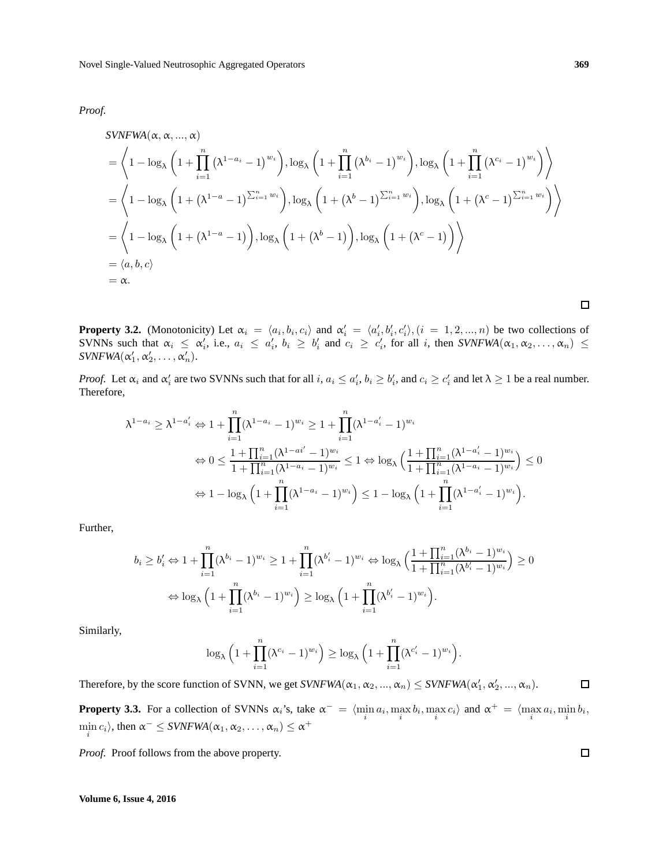*Proof.*

$$
SVNFWA(\alpha, \alpha, ..., \alpha)
$$
  
=  $\left\langle 1 - \log_{\lambda} \left( 1 + \prod_{i=1}^{n} (\lambda^{1-a_{i}} - 1)^{w_{i}} \right), \log_{\lambda} \left( 1 + \prod_{i=1}^{n} (\lambda^{b_{i}} - 1)^{w_{i}} \right), \log_{\lambda} \left( 1 + \prod_{i=1}^{n} (\lambda^{c_{i}} - 1)^{w_{i}} \right) \right\rangle$   
=  $\left\langle 1 - \log_{\lambda} \left( 1 + (\lambda^{1-a} - 1)^{\sum_{i=1}^{n} w_{i}} \right), \log_{\lambda} \left( 1 + (\lambda^{b} - 1)^{\sum_{i=1}^{n} w_{i}} \right), \log_{\lambda} \left( 1 + (\lambda^{c} - 1)^{\sum_{i=1}^{n} w_{i}} \right) \right\rangle$   
=  $\left\langle 1 - \log_{\lambda} \left( 1 + (\lambda^{1-a} - 1) \right), \log_{\lambda} \left( 1 + (\lambda^{b} - 1) \right), \log_{\lambda} \left( 1 + (\lambda^{c} - 1) \right) \right\rangle$   
=  $\langle a, b, c \rangle$   
=  $\alpha$ .

**Property 3.2.** (Monotonicity) Let  $\alpha_i = \langle a_i, b_i, c_i \rangle$  and  $\alpha'_i = \langle a'_i, b'_i, c'_i \rangle$ ,  $(i = 1, 2, ..., n)$  be two collections of SVNNs such that  $\alpha_i \leq \alpha'_i$ , i.e.,  $a_i \leq a'_i$ ,  $b_i \geq b'_i$  and  $c_i \geq c'_i$ , for all i, then  $\textit{SVNFWA}(\alpha_1, \alpha_2, ..., \alpha_n) \leq$  $\textit{SVNFWA}(\alpha_1', \alpha_2', \ldots, \alpha_n').$ 

*Proof.* Let  $\alpha_i$  and  $\alpha'_i$  are two SVNNs such that for all  $i, a_i \leq a'_i, b_i \geq b'_i$ , and  $c_i \geq c'_i$  and let  $\lambda \geq 1$  be a real number. Therefore,

$$
\lambda^{1-a_i} \geq \lambda^{1-a'_i} \Leftrightarrow 1 + \prod_{i=1}^n (\lambda^{1-a_i} - 1)^{w_i} \geq 1 + \prod_{i=1}^n (\lambda^{1-a'_i} - 1)^{w_i}
$$
  

$$
\Leftrightarrow 0 \leq \frac{1 + \prod_{i=1}^n (\lambda^{1-a'_i} - 1)^{w_i}}{1 + \prod_{i=1}^n (\lambda^{1-a_i} - 1)^{w_i}} \leq 1 \Leftrightarrow \log_{\lambda} \left( \frac{1 + \prod_{i=1}^n (\lambda^{1-a'_i} - 1)^{w_i}}{1 + \prod_{i=1}^n (\lambda^{1-a_i} - 1)^{w_i}} \right) \leq 0
$$
  

$$
\Leftrightarrow 1 - \log_{\lambda} \left( 1 + \prod_{i=1}^n (\lambda^{1-a_i} - 1)^{w_i} \right) \leq 1 - \log_{\lambda} \left( 1 + \prod_{i=1}^n (\lambda^{1-a'_i} - 1)^{w_i} \right).
$$

Further,

$$
b_i \ge b'_i \Leftrightarrow 1 + \prod_{i=1}^n (\lambda^{b_i} - 1)^{w_i} \ge 1 + \prod_{i=1}^n (\lambda^{b'_i} - 1)^{w_i} \Leftrightarrow \log_{\lambda} \left( \frac{1 + \prod_{i=1}^n (\lambda^{b_i} - 1)^{w_i}}{1 + \prod_{i=1}^n (\lambda^{b'_i} - 1)^{w_i}} \right) \ge 0
$$
  

$$
\Leftrightarrow \log_{\lambda} \left( 1 + \prod_{i=1}^n (\lambda^{b_i} - 1)^{w_i} \right) \ge \log_{\lambda} \left( 1 + \prod_{i=1}^n (\lambda^{b'_i} - 1)^{w_i} \right).
$$

Similarly,

$$
\log_{\lambda} \left( 1 + \prod_{i=1}^{n} (\lambda^{c_i} - 1)^{w_i} \right) \ge \log_{\lambda} \left( 1 + \prod_{i=1}^{n} (\lambda^{c_i'} - 1)^{w_i} \right).
$$

Therefore, by the score function of SVNN, we get  $\textit{SVNFWA}(\alpha_1, \alpha_2, ..., \alpha_n) \leq \textit{SVNFWA}(\alpha'_1, \alpha'_2, ..., \alpha_n)$ .  $\Box$ 

**Property 3.3.** For a collection of SVNNs  $\alpha_i$ 's, take  $\alpha^- = \langle \min_i a_i, \max_i b_i, \max_i c_i \rangle$  and  $\alpha^+ = \langle \max_i a_i, \min_i b_i, \max_i c_i \rangle$  $\min_i c_i$ , then  $\alpha^- \leq$  *SVNFWA*( $\alpha_1, \alpha_2, ..., \alpha_n$ )  $\leq \alpha^+$ 

*Proof.* Proof follows from the above property.

 $\Box$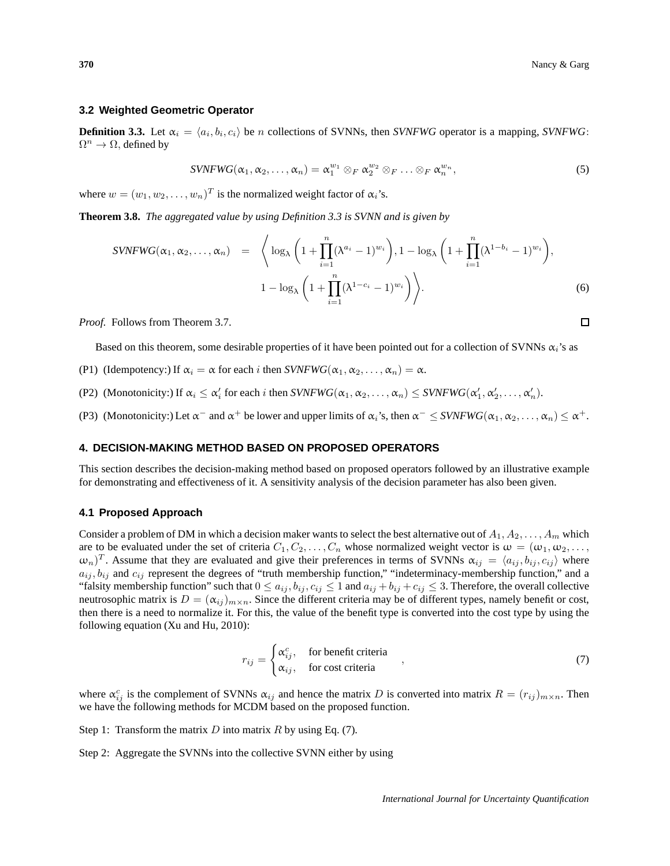□

#### **3.2 Weighted Geometric Operator**

**Definition 3.3.** Let  $\alpha_i = \langle a_i, b_i, c_i \rangle$  be *n* collections of SVNNs, then *SVNFWG* operator is a mapping, *SVNFWG*:  $\Omega^n \to \Omega$ , defined by

$$
SVNFWG(\alpha_1, \alpha_2, \ldots, \alpha_n) = \alpha_1^{w_1} \otimes_F \alpha_2^{w_2} \otimes_F \ldots \otimes_F \alpha_n^{w_n},
$$
\n
$$
(5)
$$

where  $w = (w_1, w_2, \dots, w_n)^T$  is the normalized weight factor of  $\alpha_i$ 's.

**Theorem 3.8.** *The aggregated value by using Definition 3.3 is SVNN and is given by*

$$
SVNFWG(\alpha_1, \alpha_2, \dots, \alpha_n) = \left\langle \log_{\lambda} \left( 1 + \prod_{i=1}^n (\lambda^{a_i} - 1)^{w_i} \right), 1 - \log_{\lambda} \left( 1 + \prod_{i=1}^n (\lambda^{1 - b_i} - 1)^{w_i} \right), 1 - \log_{\lambda} \left( 1 + \prod_{i=1}^n (\lambda^{1 - c_i} - 1)^{w_i} \right) \right\rangle.
$$
\n
$$
(6)
$$

*Proof.* Follows from Theorem 3.7.

Based on this theorem, some desirable properties of it have been pointed out for a collection of SVNNs  $\alpha_i$ 's as

- (P1) (Idempotency:) If  $\alpha_i = \alpha$  for each i then  $SVNFWG(\alpha_1, \alpha_2, \dots, \alpha_n) = \alpha$ .
- (P2) (Monotonicity:) If  $\alpha_i \leq \alpha'_i$  for each i then  $SVNFWG(\alpha_1, \alpha_2, \dots, \alpha_n) \leq SVNFWG(\alpha'_1, \alpha'_2, \dots, \alpha'_n)$ .

(P3) (Monotonicity:) Let  $\alpha^-$  and  $\alpha^+$  be lower and upper limits of  $\alpha_i$ 's, then  $\alpha^- \leq$  *SVNFWG*( $\alpha_1, \alpha_2, \ldots, \alpha_n$ )  $\leq \alpha^+$ .

## **4. DECISION-MAKING METHOD BASED ON PROPOSED OPERATORS**

This section describes the decision-making method based on proposed operators followed by an illustrative example for demonstrating and effectiveness of it. A sensitivity analysis of the decision parameter has also been given.

#### **4.1 Proposed Approach**

Consider a problem of DM in which a decision maker wants to select the best alternative out of  $A_1, A_2, \ldots, A_m$  which are to be evaluated under the set of criteria  $C_1, C_2, \ldots, C_n$  whose normalized weight vector is  $\omega = (\omega_1, \omega_2, \ldots, \omega_n)$  $(\omega_n)^T$ . Assume that they are evaluated and give their preferences in terms of SVNNs  $\alpha_{ij} = \langle a_{ij}, b_{ij}, c_{ij} \rangle$  where  $a_{ij}$ ,  $b_{ij}$  and  $c_{ij}$  represent the degrees of "truth membership function," "indeterminacy-membership function," and a "falsity membership function" such that  $0 \le a_{ij}, b_{ij}, c_{ij} \le 1$  and  $a_{ij} + b_{ij} + c_{ij} \le 3$ . Therefore, the overall collective neutrosophic matrix is  $D = (\alpha_{ij})_{m \times n}$ . Since the different criteria may be of different types, namely benefit or cost, then there is a need to normalize it. For this, the value of the benefit type is converted into the cost type by using the following equation (Xu and Hu, 2010):

$$
r_{ij} = \begin{cases} \alpha_{ij}^c, & \text{for benefit criteria} \\ \alpha_{ij}, & \text{for cost criteria} \end{cases}
$$
 (7)

where  $\alpha_{ij}^c$  is the complement of SVNNs  $\alpha_{ij}$  and hence the matrix D is converted into matrix  $R = (r_{ij})_{m \times n}$ . Then we have the following methods for MCDM based on the proposed function.

Step 1: Transform the matrix D into matrix R by using Eq. (7).

Step 2: Aggregate the SVNNs into the collective SVNN either by using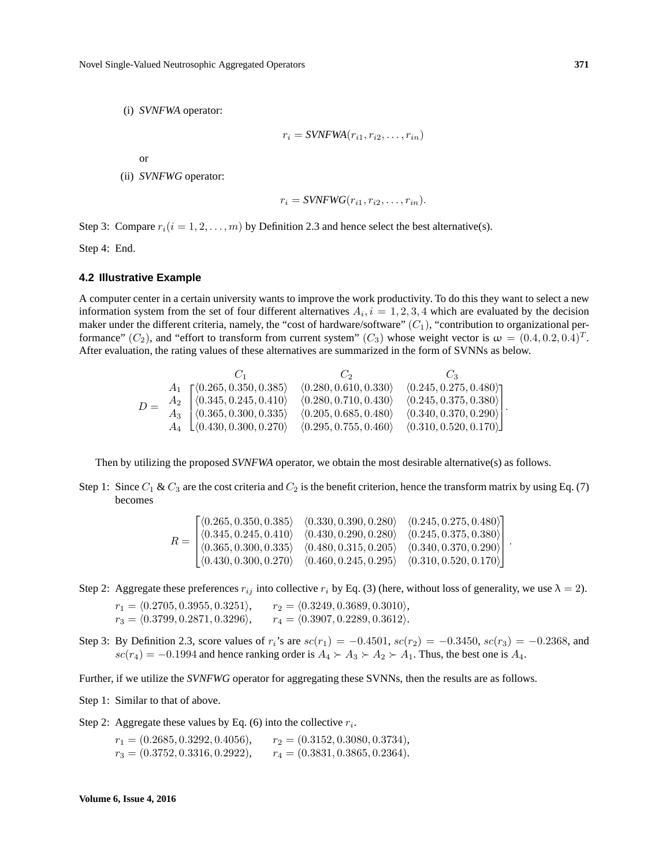(i) *SVNFWA* operator:

$$
r_i = \text{SVNFWA}(r_{i1}, r_{i2}, \dots, r_{in})
$$

or

(ii) *SVNFWG* operator:

$$
r_i = \text{SVNFWG}(r_{i1}, r_{i2}, \dots, r_{in}).
$$

Step 3: Compare  $r_i(i = 1, 2, \ldots, m)$  by Definition 2.3 and hence select the best alternative(s).

Step 4: End.

#### **4.2 Illustrative Example**

A computer center in a certain university wants to improve the work productivity. To do this they want to select a new information system from the set of four different alternatives  $A_i$ ,  $i = 1, 2, 3, 4$  which are evaluated by the decision maker under the different criteria, namely, the "cost of hardware/software"  $(C_1)$ , "contribution to organizational performance"  $(C_2)$ , and "effort to transform from current system"  $(C_3)$  whose weight vector is  $\omega = (0.4, 0.2, 0.4)^T$ . After evaluation, the rating values of these alternatives are summarized in the form of SVNNs as below.

$$
D = \begin{array}{c} & C_1 \\ A_1 \\ A_2 \\ A_3 \\ A_4 \\ \end{array} \begin{bmatrix} \langle 0.265, 0.350, 0.385 \rangle & \langle 0.280, 0.610, 0.330 \rangle & \langle 0.245, 0.275, 0.480 \rangle \\ \langle 0.345, 0.245, 0.410 \rangle & \langle 0.280, 0.710, 0.430 \rangle & \langle 0.245, 0.375, 0.380 \rangle \\ \langle 0.365, 0.300, 0.335 \rangle & \langle 0.205, 0.685, 0.480 \rangle & \langle 0.340, 0.370, 0.290 \rangle \\ \langle 0.430, 0.300, 0.270 \rangle & \langle 0.295, 0.755, 0.460 \rangle & \langle 0.310, 0.520, 0.170 \rangle \end{bmatrix}.
$$

Then by utilizing the proposed *SVNFWA* operator, we obtain the most desirable alternative(s) as follows.

Step 1: Since  $C_1 \& C_3$  are the cost criteria and  $C_2$  is the benefit criterion, hence the transform matrix by using Eq. (7) becomes

$$
R = \begin{bmatrix} \langle 0.265, 0.350, 0.385 \rangle & \langle 0.330, 0.390, 0.280 \rangle & \langle 0.245, 0.275, 0.480 \rangle \\ \langle 0.345, 0.245, 0.410 \rangle & \langle 0.430, 0.290, 0.280 \rangle & \langle 0.245, 0.375, 0.380 \rangle \\ \langle 0.365, 0.300, 0.335 \rangle & \langle 0.480, 0.315, 0.205 \rangle & \langle 0.340, 0.370, 0.290 \rangle \\ \langle 0.430, 0.300, 0.270 \rangle & \langle 0.460, 0.245, 0.295 \rangle & \langle 0.310, 0.520, 0.170 \rangle \end{bmatrix}.
$$

Step 2: Aggregate these preferences  $r_{ij}$  into collective  $r_i$  by Eq. (3) (here, without loss of generality, we use  $\lambda = 2$ ).

- $r_1 = \langle 0.2705, 0.3955, 0.3251\rangle, \qquad r_2 = \langle 0.3249, 0.3689, 0.3010\rangle,$  $r_3 = \langle 0.3799, 0.2871, 0.3296 \rangle,$   $r_4 = \langle 0.3907, 0.2289, 0.3612 \rangle.$
- Step 3: By Definition 2.3, score values of  $r_i$ 's are  $sc(r_1) = -0.4501$ ,  $sc(r_2) = -0.3450$ ,  $sc(r_3) = -0.2368$ , and  $sc(r_4) = -0.1994$  and hence ranking order is  $A_4 \rightarrow A_3 \rightarrow A_2 \rightarrow A_1$ . Thus, the best one is  $A_4$ .

Further, if we utilize the *SVNFWG* operator for aggregating these SVNNs, then the results are as follows.

Step 1: Similar to that of above.

Step 2: Aggregate these values by Eq. (6) into the collective  $r_i$ .

 $r_1 = (0.2685, 0.3292, 0.4056),$   $r_2 = (0.3152, 0.3080, 0.3734),$  $r_3 = (0.3752, 0.3316, 0.2922),$   $r_4 = (0.3831, 0.3865, 0.2364).$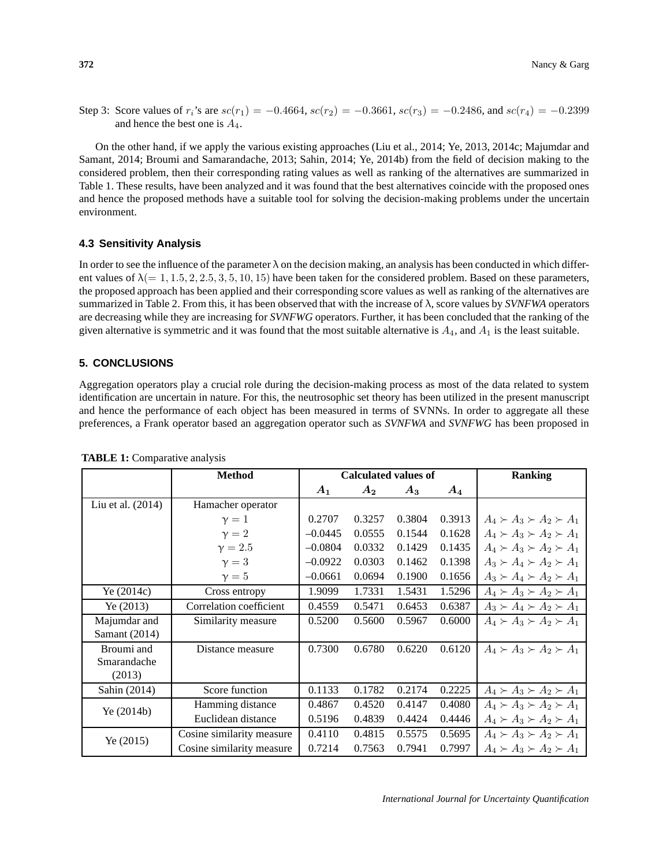Step 3: Score values of  $r_i$ 's are  $sc(r_1) = -0.4664$ ,  $sc(r_2) = -0.3661$ ,  $sc(r_3) = -0.2486$ , and  $sc(r_4) = -0.2399$ and hence the best one is  $A_4$ .

On the other hand, if we apply the various existing approaches (Liu et al., 2014; Ye, 2013, 2014c; Majumdar and Samant, 2014; Broumi and Samarandache, 2013; Sahin, 2014; Ye, 2014b) from the field of decision making to the considered problem, then their corresponding rating values as well as ranking of the alternatives are summarized in Table 1. These results, have been analyzed and it was found that the best alternatives coincide with the proposed ones and hence the proposed methods have a suitable tool for solving the decision-making problems under the uncertain environment.

## **4.3 Sensitivity Analysis**

In order to see the influence of the parameter  $\lambda$  on the decision making, an analysis has been conducted in which different values of  $\lambda (= 1, 1.5, 2, 2.5, 3, 5, 10, 15)$  have been taken for the considered problem. Based on these parameters, the proposed approach has been applied and their corresponding score values as well as ranking of the alternatives are summarized in Table 2. From this, it has been observed that with the increase of λ, score values by *SVNFWA* operators are decreasing while they are increasing for *SVNFWG* operators. Further, it has been concluded that the ranking of the given alternative is symmetric and it was found that the most suitable alternative is  $A_4$ , and  $A_1$  is the least suitable.

## **5. CONCLUSIONS**

Aggregation operators play a crucial role during the decision-making process as most of the data related to system identification are uncertain in nature. For this, the neutrosophic set theory has been utilized in the present manuscript and hence the performance of each object has been measured in terms of SVNNs. In order to aggregate all these preferences, a Frank operator based an aggregation operator such as *SVNFWA* and *SVNFWG* has been proposed in

|                     | <b>Method</b>             | <b>Calculated values of</b> |        |        |        | <b>Ranking</b>                      |
|---------------------|---------------------------|-----------------------------|--------|--------|--------|-------------------------------------|
|                     |                           | $\boldsymbol{A_1}$          | $A_2$  | $A_3$  | $A_4$  |                                     |
| Liu et al. $(2014)$ | Hamacher operator         |                             |        |        |        |                                     |
|                     | $\gamma=1$                | 0.2707                      | 0.3257 | 0.3804 | 0.3913 | $A_4 \succ A_3 \succ A_2 \succ A_1$ |
|                     | $\gamma = 2$              | $-0.0445$                   | 0.0555 | 0.1544 | 0.1628 | $A_4 \succ A_3 \succ A_2 \succ A_1$ |
|                     | $\gamma = 2.5$            | $-0.0804$                   | 0.0332 | 0.1429 | 0.1435 | $A_4 \succ A_3 \succ A_2 \succ A_1$ |
|                     | $\gamma = 3$              | $-0.0922$                   | 0.0303 | 0.1462 | 0.1398 | $A_3 \succ A_4 \succ A_2 \succ A_1$ |
|                     | $\gamma=5$                | $-0.0661$                   | 0.0694 | 0.1900 | 0.1656 | $A_3 \succ A_4 \succ A_2 \succ A_1$ |
| Ye $(2014c)$        | Cross entropy             | 1.9099                      | 1.7331 | 1.5431 | 1.5296 | $A_4 \succ A_3 \succ A_2 \succ A_1$ |
| Ye(2013)            | Correlation coefficient   | 0.4559                      | 0.5471 | 0.6453 | 0.6387 | $A_3 \succ A_4 \succ A_2 \succ A_1$ |
| Majumdar and        | Similarity measure        | 0.5200                      | 0.5600 | 0.5967 | 0.6000 | $A_4 \succ A_3 \succ A_2 \succ A_1$ |
| Samant (2014)       |                           |                             |        |        |        |                                     |
| Broumi and          | Distance measure          | 0.7300                      | 0.6780 | 0.6220 | 0.6120 | $A_4 \succ A_3 \succ A_2 \succ A_1$ |
| Smarandache         |                           |                             |        |        |        |                                     |
| (2013)              |                           |                             |        |        |        |                                     |
| Sahin (2014)        | Score function            | 0.1133                      | 0.1782 | 0.2174 | 0.2225 | $A_4 \succ A_3 \succ A_2 \succ A_1$ |
| Ye $(2014b)$        | Hamming distance          | 0.4867                      | 0.4520 | 0.4147 | 0.4080 | $A_4 \succ A_3 \succ A_2 \succ A_1$ |
|                     | Euclidean distance        | 0.5196                      | 0.4839 | 0.4424 | 0.4446 | $A_4 \succ A_3 \succ A_2 \succ A_1$ |
| Ye $(2015)$         | Cosine similarity measure | 0.4110                      | 0.4815 | 0.5575 | 0.5695 | $A_4 \succ A_3 \succ A_2 \succ A_1$ |
|                     | Cosine similarity measure | 0.7214                      | 0.7563 | 0.7941 | 0.7997 | $A_4 \succ A_3 \succ A_2 \succ A_1$ |

#### **TABLE 1:** Comparative analysis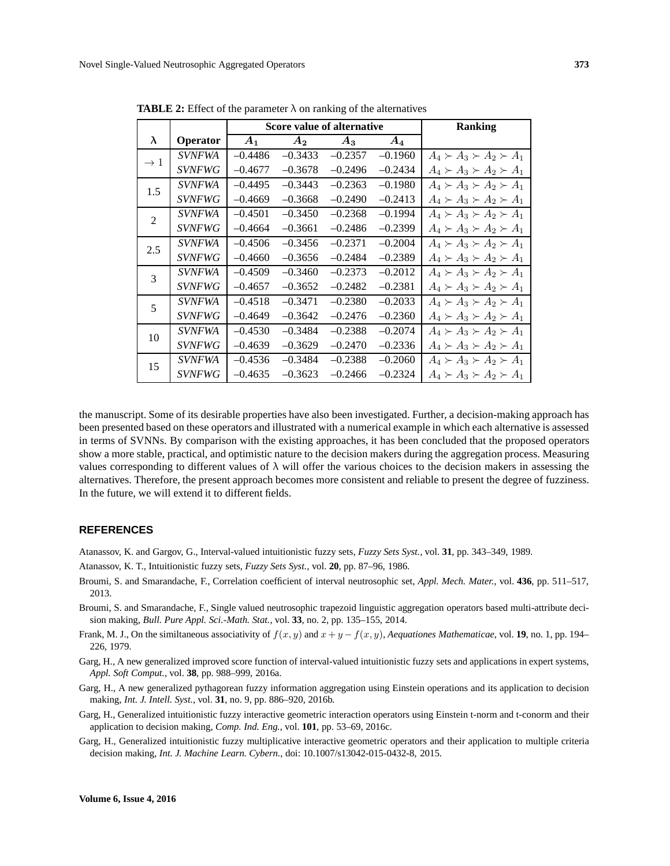|                 |                      |           | Score value of alternative | <b>Ranking</b> |           |                                     |
|-----------------|----------------------|-----------|----------------------------|----------------|-----------|-------------------------------------|
| λ               | Operator             | $A_1$     | A <sub>2</sub>             | $A_3$          | $A_4$     |                                     |
| $\rightarrow$ 1 | <i>SVNFWA</i>        | $-0.4486$ | $-0.3433$                  | $-0.2357$      | $-0.1960$ | $A_4 \succ A_3 \succ A_2 \succ A_1$ |
|                 | <b>SVNFWG</b>        | $-0.4677$ | $-0.3678$                  | $-0.2496$      | $-0.2434$ | $A_4 \succ A_3 \succ A_2 \succ A_1$ |
| 1.5             | <i>SVNFWA</i>        | $-0.4495$ | $-0.3443$                  | $-0.2363$      | $-0.1980$ | $A_4 \succ A_3 \succ A_2 \succ A_1$ |
|                 | <i>SVNFWG</i>        | $-0.4669$ | $-0.3668$                  | $-0.2490$      | $-0.2413$ | $A_4 \succ A_3 \succ A_2 \succ A_1$ |
| $\overline{2}$  | <i><b>SVNFWA</b></i> | $-0.4501$ | $-0.3450$                  | $-0.2368$      | $-0.1994$ | $A_4 \succ A_3 \succ A_2 \succ A_1$ |
|                 | <i>SVNFWG</i>        | $-0.4664$ | $-0.3661$                  | $-0.2486$      | $-0.2399$ | $A_4 \succ A_3 \succ A_2 \succ A_1$ |
| 2.5             | <i><b>SVNFWA</b></i> | $-0.4506$ | $-0.3456$                  | $-0.2371$      | $-0.2004$ | $A_4 \succ A_3 \succ A_2 \succ A_1$ |
|                 | <b>SVNFWG</b>        | $-0.4660$ | $-0.3656$                  | $-0.2484$      | $-0.2389$ | $A_4 \succ A_3 \succ A_2 \succ A_1$ |
| 3               | <b>SVNFWA</b>        | $-0.4509$ | $-0.3460$                  | $-0.2373$      | $-0.2012$ | $A_4 \succ A_3 \succ A_2 \succ A_1$ |
|                 | <b>SVNFWG</b>        | $-0.4657$ | $-0.3652$                  | $-0.2482$      | $-0.2381$ | $A_4 \succ A_3 \succ A_2 \succ A_1$ |
| 5               | <b>SVNFWA</b>        | $-0.4518$ | $-0.3471$                  | $-0.2380$      | $-0.2033$ | $A_4 \succ A_3 \succ A_2 \succ A_1$ |
|                 | <b>SVNFWG</b>        | $-0.4649$ | $-0.3642$                  | $-0.2476$      | $-0.2360$ | $A_4 \succ A_3 \succ A_2 \succ A_1$ |
| 10              | <b>SVNFWA</b>        | $-0.4530$ | $-0.3484$                  | $-0.2388$      | $-0.2074$ | $A_4 \succ A_3 \succ A_2 \succ A_1$ |
|                 | <b>SVNFWG</b>        | $-0.4639$ | $-0.3629$                  | $-0.2470$      | $-0.2336$ | $A_4 \succ A_3 \succ A_2 \succ A_1$ |
| 15              | <i><b>SVNFWA</b></i> | $-0.4536$ | $-0.3484$                  | $-0.2388$      | $-0.2060$ | $A_4 \succ A_3 \succ A_2 \succ A_1$ |
|                 | <i>SVNFWG</i>        | $-0.4635$ | $-0.3623$                  | $-0.2466$      | $-0.2324$ | $A_4 \succ A_3 \succ A_2 \succ A_1$ |

**TABLE 2:** Effect of the parameter  $\lambda$  on ranking of the alternatives

the manuscript. Some of its desirable properties have also been investigated. Further, a decision-making approach has been presented based on these operators and illustrated with a numerical example in which each alternative is assessed in terms of SVNNs. By comparison with the existing approaches, it has been concluded that the proposed operators show a more stable, practical, and optimistic nature to the decision makers during the aggregation process. Measuring values corresponding to different values of  $\lambda$  will offer the various choices to the decision makers in assessing the alternatives. Therefore, the present approach becomes more consistent and reliable to present the degree of fuzziness. In the future, we will extend it to different fields.

## **REFERENCES**

Atanassov, K. and Gargov, G., Interval-valued intuitionistic fuzzy sets, *Fuzzy Sets Syst.*, vol. **31**, pp. 343–349, 1989.

- Atanassov, K. T., Intuitionistic fuzzy sets, *Fuzzy Sets Syst.*, vol. **20**, pp. 87–96, 1986.
- Broumi, S. and Smarandache, F., Correlation coefficient of interval neutrosophic set, *Appl. Mech. Mater.*, vol. **436**, pp. 511–517, 2013.
- Broumi, S. and Smarandache, F., Single valued neutrosophic trapezoid linguistic aggregation operators based multi-attribute decision making, *Bull. Pure Appl. Sci.-Math. Stat.*, vol. **33**, no. 2, pp. 135–155, 2014.
- Frank, M. J., On the similtaneous associativity of  $f(x, y)$  and  $x + y f(x, y)$ , *Aequationes Mathematicae*, vol. **19**, no. 1, pp. 194– 226, 1979.
- Garg, H., A new generalized improved score function of interval-valued intuitionistic fuzzy sets and applications in expert systems, *Appl. Soft Comput.*, vol. **38**, pp. 988–999, 2016a.
- Garg, H., A new generalized pythagorean fuzzy information aggregation using Einstein operations and its application to decision making, *Int. J. Intell. Syst.*, vol. **31**, no. 9, pp. 886–920, 2016b.
- Garg, H., Generalized intuitionistic fuzzy interactive geometric interaction operators using Einstein t-norm and t-conorm and their application to decision making, *Comp. Ind. Eng.*, vol. **101**, pp. 53–69, 2016c.
- Garg, H., Generalized intuitionistic fuzzy multiplicative interactive geometric operators and their application to multiple criteria decision making, *Int. J. Machine Learn. Cybern.*, doi: 10.1007/s13042-015-0432-8, 2015.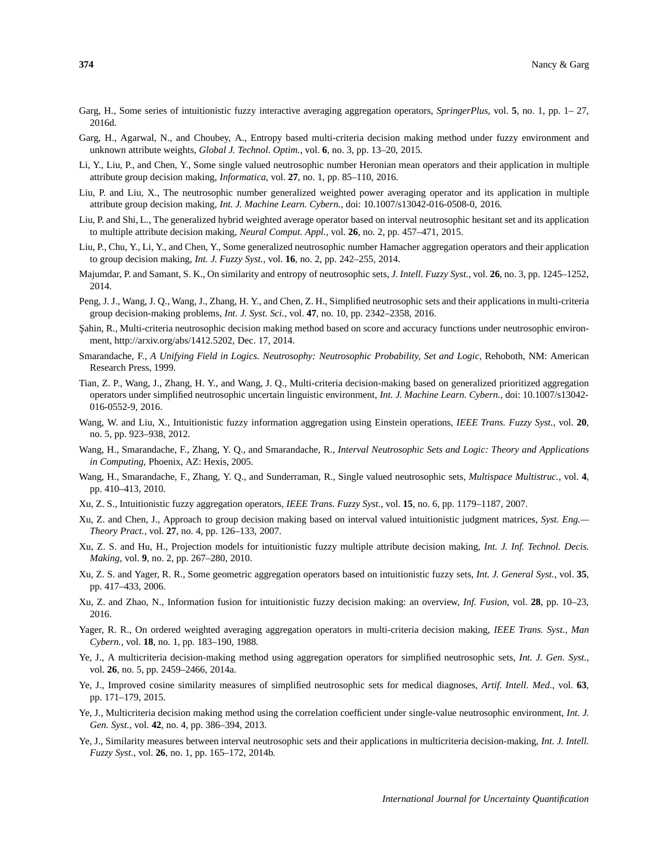- Garg, H., Some series of intuitionistic fuzzy interactive averaging aggregation operators, *SpringerPlus*, vol. **5**, no. 1, pp. 1– 27, 2016d.
- Garg, H., Agarwal, N., and Choubey, A., Entropy based multi-criteria decision making method under fuzzy environment and unknown attribute weights, *Global J. Technol. Optim.*, vol. **6**, no. 3, pp. 13–20, 2015.
- Li, Y., Liu, P., and Chen, Y., Some single valued neutrosophic number Heronian mean operators and their application in multiple attribute group decision making, *Informatica*, vol. **27**, no. 1, pp. 85–110, 2016.
- Liu, P. and Liu, X., The neutrosophic number generalized weighted power averaging operator and its application in multiple attribute group decision making, *Int. J. Machine Learn. Cybern.*, doi: 10.1007/s13042-016-0508-0, 2016.
- Liu, P. and Shi, L., The generalized hybrid weighted average operator based on interval neutrosophic hesitant set and its application to multiple attribute decision making, *Neural Comput. Appl.*, vol. **26**, no. 2, pp. 457–471, 2015.
- Liu, P., Chu, Y., Li, Y., and Chen, Y., Some generalized neutrosophic number Hamacher aggregation operators and their application to group decision making, *Int. J. Fuzzy Syst.*, vol. **16**, no. 2, pp. 242–255, 2014.
- Majumdar, P. and Samant, S. K., On similarity and entropy of neutrosophic sets, *J. Intell. Fuzzy Syst.*, vol. **26**, no. 3, pp. 1245–1252, 2014.
- Peng, J. J., Wang, J. Q., Wang, J., Zhang, H. Y., and Chen, Z. H., Simplified neutrosophic sets and their applications in multi-criteria group decision-making problems, *Int. J. Syst. Sci.*, vol. **47**, no. 10, pp. 2342–2358, 2016.
- S¸ahin, R., Multi-criteria neutrosophic decision making method based on score and accuracy functions under neutrosophic environment, http://arxiv.org/abs/1412.5202, Dec. 17, 2014.
- Smarandache, F., *A Unifying Field in Logics. Neutrosophy: Neutrosophic Probability, Set and Logic*, Rehoboth, NM: American Research Press, 1999.
- Tian, Z. P., Wang, J., Zhang, H. Y., and Wang, J. Q., Multi-criteria decision-making based on generalized prioritized aggregation operators under simplified neutrosophic uncertain linguistic environment, *Int. J. Machine Learn. Cybern.*, doi: 10.1007/s13042- 016-0552-9, 2016.
- Wang, W. and Liu, X., Intuitionistic fuzzy information aggregation using Einstein operations, *IEEE Trans. Fuzzy Syst.*, vol. **20**, no. 5, pp. 923–938, 2012.
- Wang, H., Smarandache, F., Zhang, Y. Q., and Smarandache, R., *Interval Neutrosophic Sets and Logic: Theory and Applications in Computing*, Phoenix, AZ: Hexis, 2005.
- Wang, H., Smarandache, F., Zhang, Y. Q., and Sunderraman, R., Single valued neutrosophic sets, *Multispace Multistruc.*, vol. **4**, pp. 410–413, 2010.
- Xu, Z. S., Intuitionistic fuzzy aggregation operators, *IEEE Trans. Fuzzy Syst.*, vol. **15**, no. 6, pp. 1179–1187, 2007.
- Xu, Z. and Chen, J., Approach to group decision making based on interval valued intuitionistic judgment matrices, *Syst. Eng.— Theory Pract.*, vol. **27**, no. 4, pp. 126–133, 2007.
- Xu, Z. S. and Hu, H., Projection models for intuitionistic fuzzy multiple attribute decision making, *Int. J. Inf. Technol. Decis. Making*, vol. **9**, no. 2, pp. 267–280, 2010.
- Xu, Z. S. and Yager, R. R., Some geometric aggregation operators based on intuitionistic fuzzy sets, *Int. J. General Syst.*, vol. **35**, pp. 417–433, 2006.
- Xu, Z. and Zhao, N., Information fusion for intuitionistic fuzzy decision making: an overview, *Inf. Fusion*, vol. **28**, pp. 10–23, 2016.
- Yager, R. R., On ordered weighted averaging aggregation operators in multi-criteria decision making, *IEEE Trans. Syst., Man Cybern.*, vol. **18**, no. 1, pp. 183–190, 1988.
- Ye, J., A multicriteria decision-making method using aggregation operators for simplified neutrosophic sets, *Int. J. Gen. Syst.*, vol. **26**, no. 5, pp. 2459–2466, 2014a.
- Ye, J., Improved cosine similarity measures of simplified neutrosophic sets for medical diagnoses, *Artif. Intell. Med.*, vol. **63**, pp. 171–179, 2015.
- Ye, J., Multicriteria decision making method using the correlation coefficient under single-value neutrosophic environment, *Int. J. Gen. Syst.*, vol. **42**, no. 4, pp. 386–394, 2013.
- Ye, J., Similarity measures between interval neutrosophic sets and their applications in multicriteria decision-making, *Int. J. Intell. Fuzzy Syst.*, vol. **26**, no. 1, pp. 165–172, 2014b.